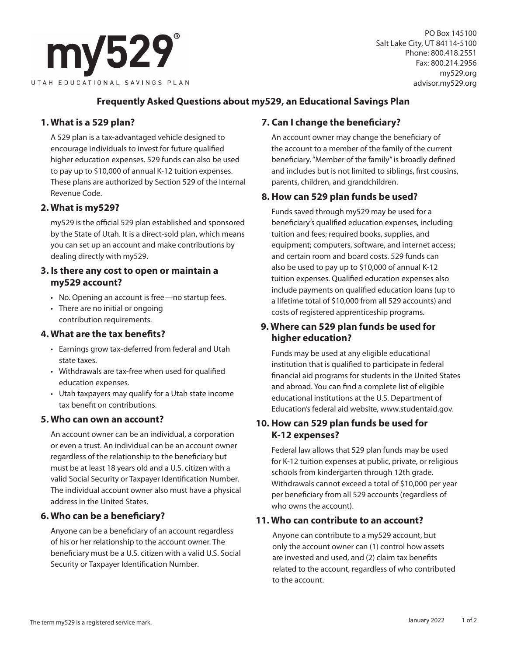

PO Box 145100 Salt Lake City, UT 84114-5100 Phone: 800.418.2551 Fax: 800.214.2956 my529.org advisor.my529.org

## **Frequently Asked Questions about my529, an Educational Savings Plan**

# **1. What is a 529 plan?**

A 529 plan is a tax-advantaged vehicle designed to encourage individuals to invest for future qualified higher education expenses. 529 funds can also be used to pay up to \$10,000 of annual K-12 tuition expenses. These plans are authorized by Section 529 of the Internal Revenue Code.

#### **2. What is my529?**

my529 is the official 529 plan established and sponsored by the State of Utah. It is a direct-sold plan, which means you can set up an account and make contributions by dealing directly with my529.

#### **3. Is there any cost to open or maintain a my529 account?**

- No. Opening an account is free—no startup fees.
- There are no initial or ongoing contribution requirements.

## **4. What are the tax benefits?**

- Earnings grow tax-deferred from federal and Utah state taxes.
- Withdrawals are tax-free when used for qualified education expenses.
- Utah taxpayers may qualify for a Utah state income tax benefit on contributions.

## **5. Who can own an account?**

An account owner can be an individual, a corporation or even a trust. An individual can be an account owner regardless of the relationship to the beneficiary but must be at least 18 years old and a U.S. citizen with a valid Social Security or Taxpayer Identification Number. The individual account owner also must have a physical address in the United States.

## **6. Who can be a beneficiary?**

Anyone can be a beneficiary of an account regardless of his or her relationship to the account owner. The beneficiary must be a U.S. citizen with a valid U.S. Social Security or Taxpayer Identification Number.

# **7. Can I change the beneficiary?**

An account owner may change the beneficiary of the account to a member of the family of the current beneficiary. "Member of the family" is broadly defined and includes but is not limited to siblings, first cousins, parents, children, and grandchildren.

## **8. How can 529 plan funds be used?**

Funds saved through my529 may be used for a beneficiary's qualified education expenses, including tuition and fees; required books, supplies, and equipment; computers, software, and internet access; and certain room and board costs. 529 funds can also be used to pay up to \$10,000 of annual K-12 tuition expenses. Qualified education expenses also include payments on qualified education loans (up to a lifetime total of \$10,000 from all 529 accounts) and costs of registered apprenticeship programs.

# **9. Where can 529 plan funds be used for higher education?**

Funds may be used at any eligible educational institution that is qualified to participate in federal financial aid programs for students in the United States and abroad. You can find a complete list of eligible educational institutions at the U.S. Department of Education's federal aid website, www.studentaid.gov.

## **10. How can 529 plan funds be used for K-12 expenses?**

Federal law allows that 529 plan funds may be used for K-12 tuition expenses at public, private, or religious schools from kindergarten through 12th grade. Withdrawals cannot exceed a total of \$10,000 per year per beneficiary from all 529 accounts (regardless of who owns the account).

#### **11. Who can contribute to an account?**

Anyone can contribute to a my529 account, but only the account owner can (1) control how assets are invested and used, and (2) claim tax benefits related to the account, regardless of who contributed to the account.